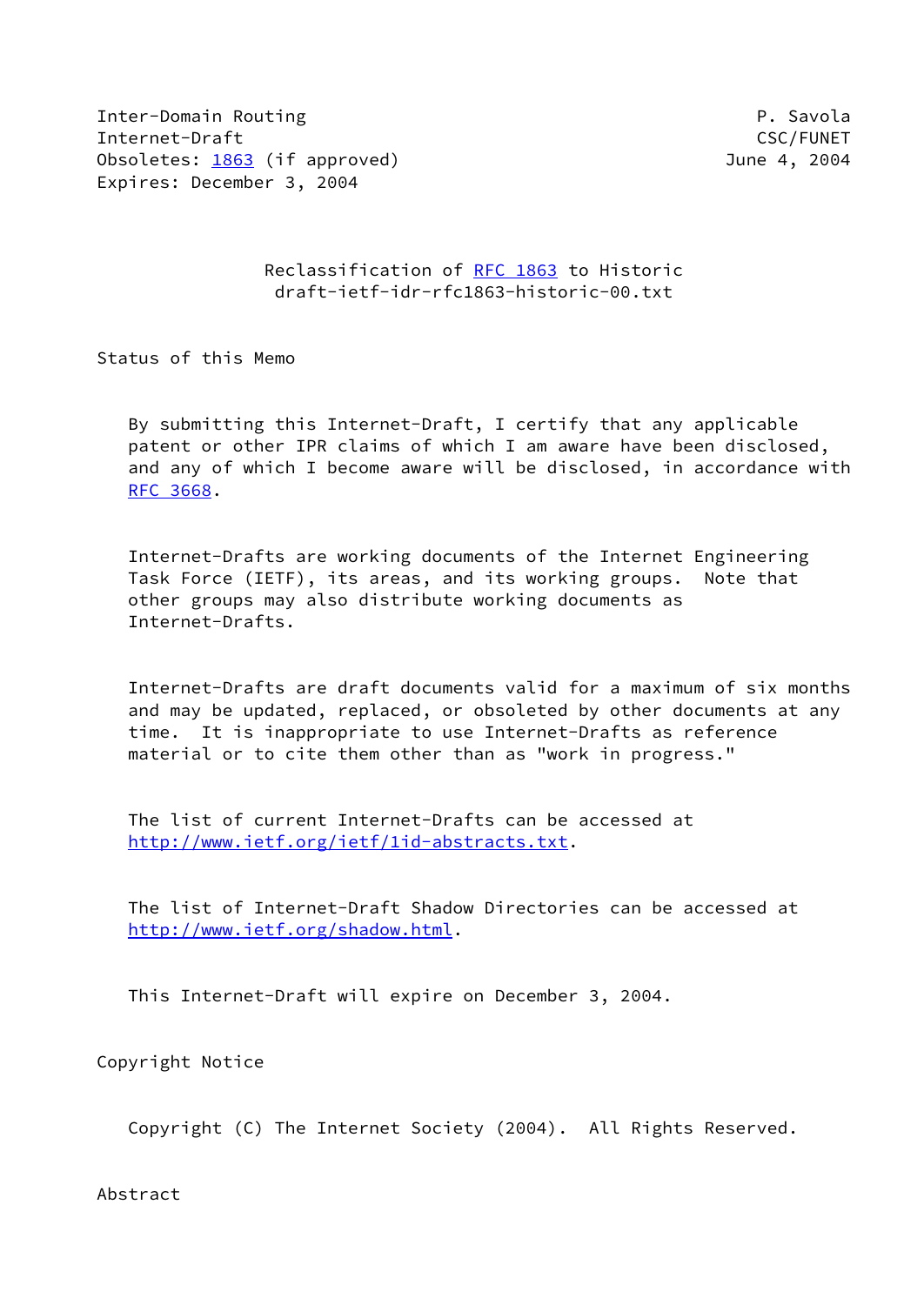Inter-Domain Routing P. Savola Internet-Draft CSC/FUNET Obsoletes: [1863](https://datatracker.ietf.org/doc/pdf/rfc1863) (if approved) 3004 Expires: December 3, 2004

## Reclassification of [RFC 1863](https://datatracker.ietf.org/doc/pdf/rfc1863) to Historic draft-ietf-idr-rfc1863-historic-00.txt

Status of this Memo

 By submitting this Internet-Draft, I certify that any applicable patent or other IPR claims of which I am aware have been disclosed, and any of which I become aware will be disclosed, in accordance with [RFC 3668](https://datatracker.ietf.org/doc/pdf/rfc3668).

 Internet-Drafts are working documents of the Internet Engineering Task Force (IETF), its areas, and its working groups. Note that other groups may also distribute working documents as Internet-Drafts.

 Internet-Drafts are draft documents valid for a maximum of six months and may be updated, replaced, or obsoleted by other documents at any time. It is inappropriate to use Internet-Drafts as reference material or to cite them other than as "work in progress."

 The list of current Internet-Drafts can be accessed at <http://www.ietf.org/ietf/1id-abstracts.txt>.

 The list of Internet-Draft Shadow Directories can be accessed at <http://www.ietf.org/shadow.html>.

This Internet-Draft will expire on December 3, 2004.

Copyright Notice

Copyright (C) The Internet Society (2004). All Rights Reserved.

Abstract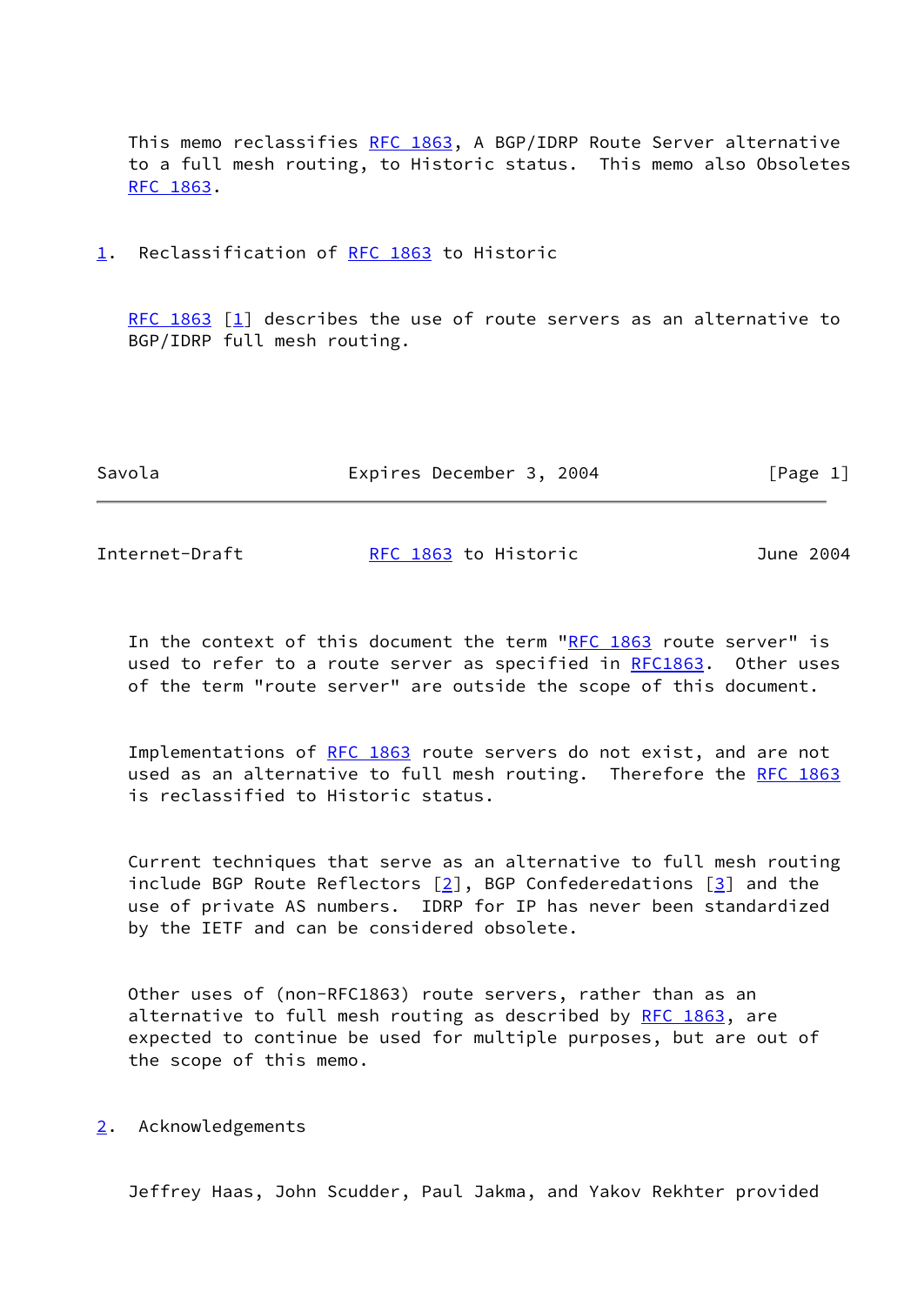This memo reclassifies [RFC 1863,](https://datatracker.ietf.org/doc/pdf/rfc1863) A BGP/IDRP Route Server alternative to a full mesh routing, to Historic status. This memo also Obsoletes [RFC 1863](https://datatracker.ietf.org/doc/pdf/rfc1863).

<span id="page-1-0"></span>[1](#page-1-0). Reclassification of [RFC 1863](https://datatracker.ietf.org/doc/pdf/rfc1863) to Historic

[RFC 1863](https://datatracker.ietf.org/doc/pdf/rfc1863)  $[1]$  describes the use of route servers as an alternative to BGP/IDRP full mesh routing.

| Savola | Expires December 3, 2004 | [Page 1] |
|--------|--------------------------|----------|
|        |                          |          |

| Internet-Draft | RFC 1863 to Historic | June 2004 |
|----------------|----------------------|-----------|
|----------------|----------------------|-----------|

In the context of this document the term ["RFC 1863](https://datatracker.ietf.org/doc/pdf/rfc1863) route server" is used to refer to a route server as specified in [RFC1863](https://datatracker.ietf.org/doc/pdf/rfc1863). Other uses of the term "route server" are outside the scope of this document.

 Implementations of [RFC 1863](https://datatracker.ietf.org/doc/pdf/rfc1863) route servers do not exist, and are not used as an alternative to full mesh routing. Therefore the [RFC 1863](https://datatracker.ietf.org/doc/pdf/rfc1863) is reclassified to Historic status.

 Current techniques that serve as an alternative to full mesh routing include BGP Route Reflectors  $[2]$ , BGP Confederedations  $[3]$  $[3]$  and the use of private AS numbers. IDRP for IP has never been standardized by the IETF and can be considered obsolete.

 Other uses of (non-RFC1863) route servers, rather than as an alternative to full mesh routing as described by [RFC 1863](https://datatracker.ietf.org/doc/pdf/rfc1863), are expected to continue be used for multiple purposes, but are out of the scope of this memo.

<span id="page-1-1"></span>[2](#page-1-1). Acknowledgements

Jeffrey Haas, John Scudder, Paul Jakma, and Yakov Rekhter provided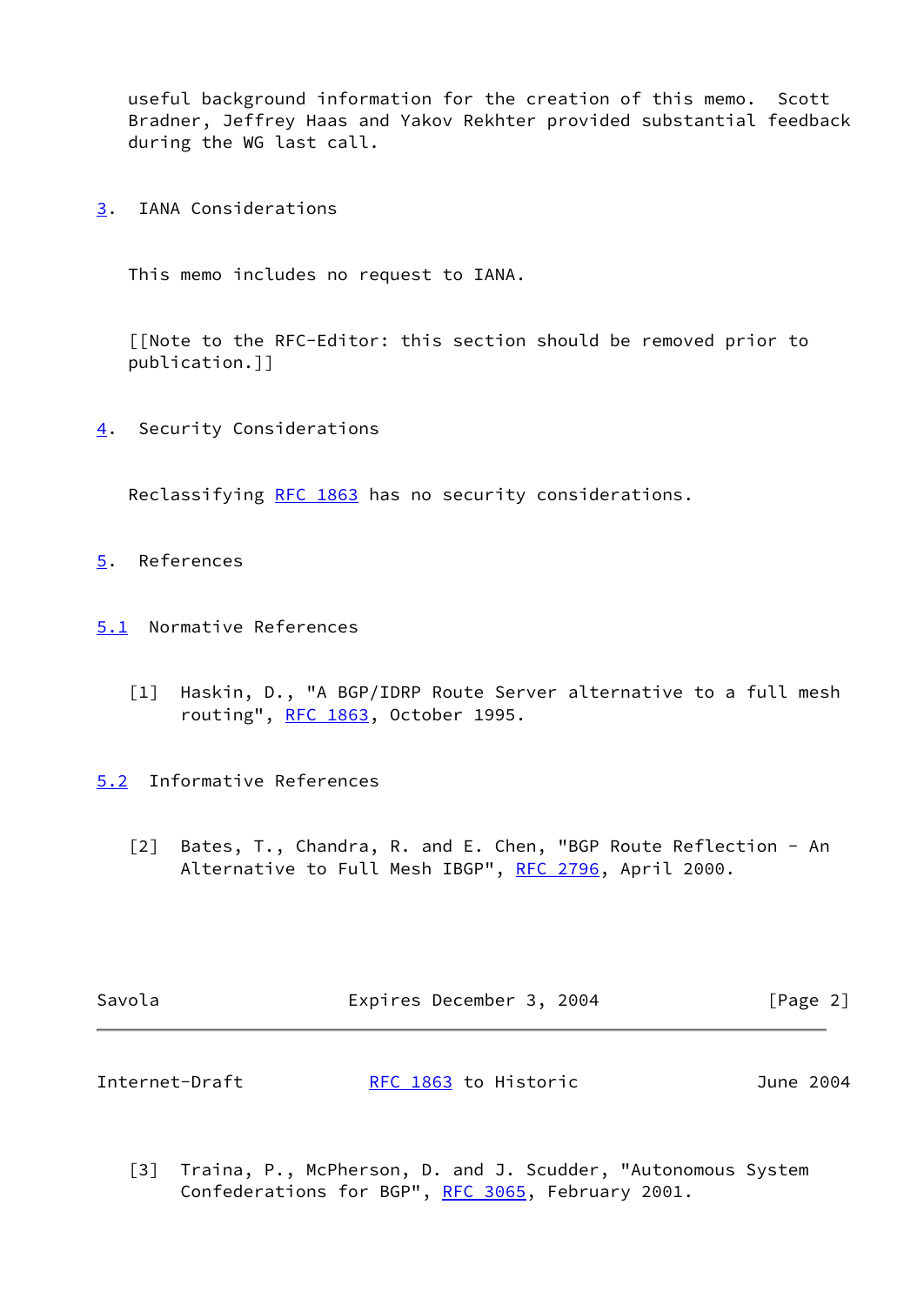useful background information for the creation of this memo. Scott Bradner, Jeffrey Haas and Yakov Rekhter provided substantial feedback during the WG last call.

<span id="page-2-3"></span>[3](#page-2-3). IANA Considerations

This memo includes no request to IANA.

 [[Note to the RFC-Editor: this section should be removed prior to publication.]]

<span id="page-2-4"></span>[4](#page-2-4). Security Considerations

Reclassifying [RFC 1863](https://datatracker.ietf.org/doc/pdf/rfc1863) has no security considerations.

- <span id="page-2-5"></span>[5](#page-2-5). References
- <span id="page-2-6"></span><span id="page-2-0"></span>[5.1](#page-2-6) Normative References
	- [1] Haskin, D., "A BGP/IDRP Route Server alternative to a full mesh routing", [RFC 1863,](https://datatracker.ietf.org/doc/pdf/rfc1863) October 1995.
- <span id="page-2-7"></span><span id="page-2-1"></span>[5.2](#page-2-7) Informative References
	- [2] Bates, T., Chandra, R. and E. Chen, "BGP Route Reflection An Alternative to Full Mesh IBGP", [RFC 2796](https://datatracker.ietf.org/doc/pdf/rfc2796), April 2000.

| Savola         | Expires December 3, 2004 | [Page 2]  |
|----------------|--------------------------|-----------|
|                |                          |           |
| Internet-Draft | RFC 1863 to Historic     | June 2004 |

<span id="page-2-2"></span> [3] Traina, P., McPherson, D. and J. Scudder, "Autonomous System Confederations for BGP", [RFC 3065](https://datatracker.ietf.org/doc/pdf/rfc3065), February 2001.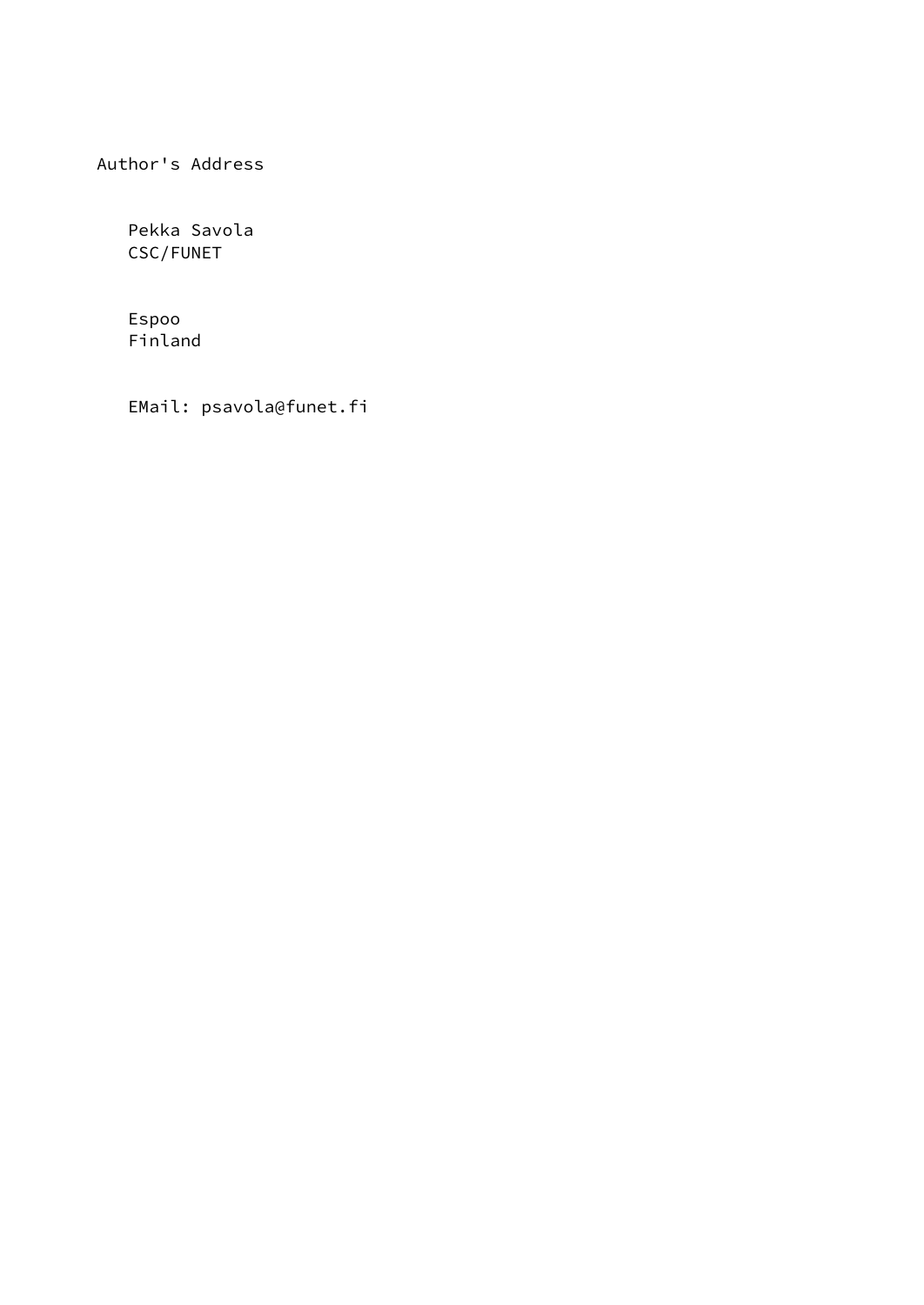Author's Address

 Pekka Savola CSC/FUNET

 Espoo Finland

EMail: psavola@funet.fi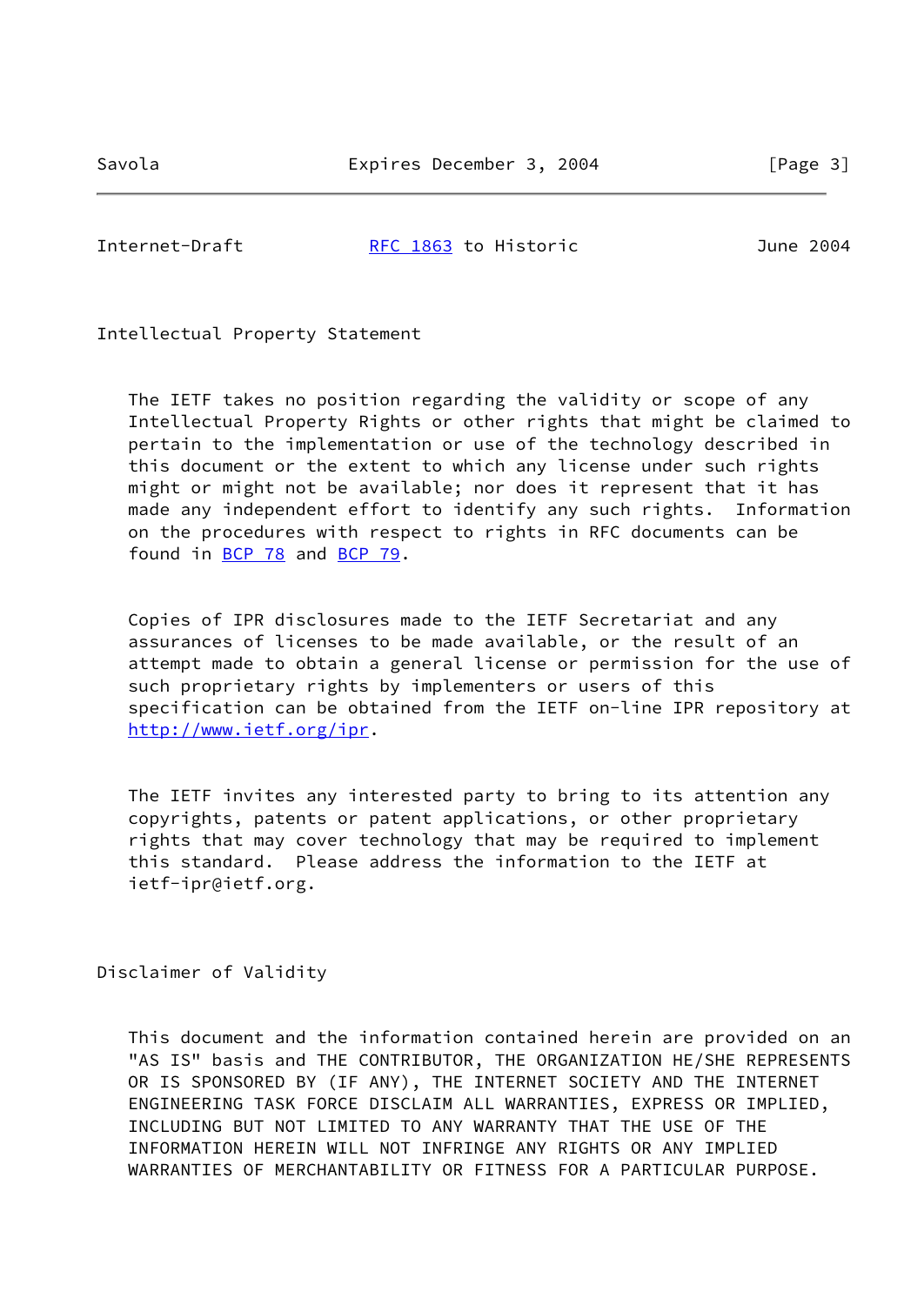Internet-Draft [RFC 1863](https://datatracker.ietf.org/doc/pdf/rfc1863) to Historic June 2004

Intellectual Property Statement

 The IETF takes no position regarding the validity or scope of any Intellectual Property Rights or other rights that might be claimed to pertain to the implementation or use of the technology described in this document or the extent to which any license under such rights might or might not be available; nor does it represent that it has made any independent effort to identify any such rights. Information on the procedures with respect to rights in RFC documents can be found in [BCP 78](https://datatracker.ietf.org/doc/pdf/bcp78) and [BCP 79](https://datatracker.ietf.org/doc/pdf/bcp79).

 Copies of IPR disclosures made to the IETF Secretariat and any assurances of licenses to be made available, or the result of an attempt made to obtain a general license or permission for the use of such proprietary rights by implementers or users of this specification can be obtained from the IETF on-line IPR repository at <http://www.ietf.org/ipr>.

 The IETF invites any interested party to bring to its attention any copyrights, patents or patent applications, or other proprietary rights that may cover technology that may be required to implement this standard. Please address the information to the IETF at ietf-ipr@ietf.org.

Disclaimer of Validity

 This document and the information contained herein are provided on an "AS IS" basis and THE CONTRIBUTOR, THE ORGANIZATION HE/SHE REPRESENTS OR IS SPONSORED BY (IF ANY), THE INTERNET SOCIETY AND THE INTERNET ENGINEERING TASK FORCE DISCLAIM ALL WARRANTIES, EXPRESS OR IMPLIED, INCLUDING BUT NOT LIMITED TO ANY WARRANTY THAT THE USE OF THE INFORMATION HEREIN WILL NOT INFRINGE ANY RIGHTS OR ANY IMPLIED WARRANTIES OF MERCHANTABILITY OR FITNESS FOR A PARTICULAR PURPOSE.